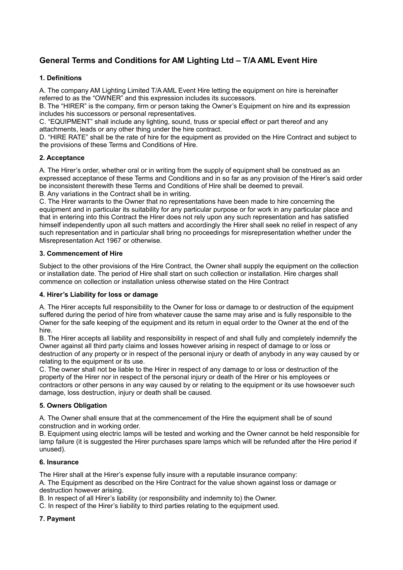# **General Terms and Conditions for AM Lighting Ltd – T/A AML Event Hire**

## **1. Definitions**

A. The company AM Lighting Limited T/A AML Event Hire letting the equipment on hire is hereinafter referred to as the "OWNER" and this expression includes its successors.

B. The "HIRER" is the company, firm or person taking the Owner's Equipment on hire and its expression includes his successors or personal representatives.

C. "EQUIPMENT" shall include any lighting, sound, truss or special effect or part thereof and any attachments, leads or any other thing under the hire contract.

D. "HIRE RATE" shall be the rate of hire for the equipment as provided on the Hire Contract and subject to the provisions of these Terms and Conditions of Hire.

## **2. Acceptance**

A. The Hirer's order, whether oral or in writing from the supply of equipment shall be construed as an expressed acceptance of these Terms and Conditions and in so far as any provision of the Hirer's said order be inconsistent therewith these Terms and Conditions of Hire shall be deemed to prevail.

B. Any variations in the Contract shall be in writing.

C. The Hirer warrants to the Owner that no representations have been made to hire concerning the equipment and in particular its suitability for any particular purpose or for work in any particular place and that in entering into this Contract the Hirer does not rely upon any such representation and has satisfied himself independently upon all such matters and accordingly the Hirer shall seek no relief in respect of any such representation and in particular shall bring no proceedings for misrepresentation whether under the Misrepresentation Act 1967 or otherwise.

## **3. Commencement of Hire**

Subject to the other provisions of the Hire Contract, the Owner shall supply the equipment on the collection or installation date. The period of Hire shall start on such collection or installation. Hire charges shall commence on collection or installation unless otherwise stated on the Hire Contract

## **4. Hirer's Liability for loss or damage**

A. The Hirer accepts full responsibility to the Owner for loss or damage to or destruction of the equipment suffered during the period of hire from whatever cause the same may arise and is fully responsible to the Owner for the safe keeping of the equipment and its return in equal order to the Owner at the end of the hire.

B. The Hirer accepts all liability and responsibility in respect of and shall fully and completely indemnify the Owner against all third party claims and losses however arising in respect of damage to or loss or destruction of any property or in respect of the personal injury or death of anybody in any way caused by or relating to the equipment or its use.

C. The owner shall not be liable to the Hirer in respect of any damage to or loss or destruction of the property of the Hirer nor in respect of the personal injury or death of the Hirer or his employees or contractors or other persons in any way caused by or relating to the equipment or its use howsoever such damage, loss destruction, injury or death shall be caused.

## **5. Owners Obligation**

A. The Owner shall ensure that at the commencement of the Hire the equipment shall be of sound construction and in working order.

B. Equipment using electric lamps will be tested and working and the Owner cannot be held responsible for lamp failure (it is suggested the Hirer purchases spare lamps which will be refunded after the Hire period if unused).

## **6. Insurance**

The Hirer shall at the Hirer's expense fully insure with a reputable insurance company:

A. The Equipment as described on the Hire Contract for the value shown against loss or damage or destruction however arising.

B. In respect of all Hirer's liability (or responsibility and indemnity to) the Owner.

C. In respect of the Hirer's liability to third parties relating to the equipment used.

## **7. Payment**